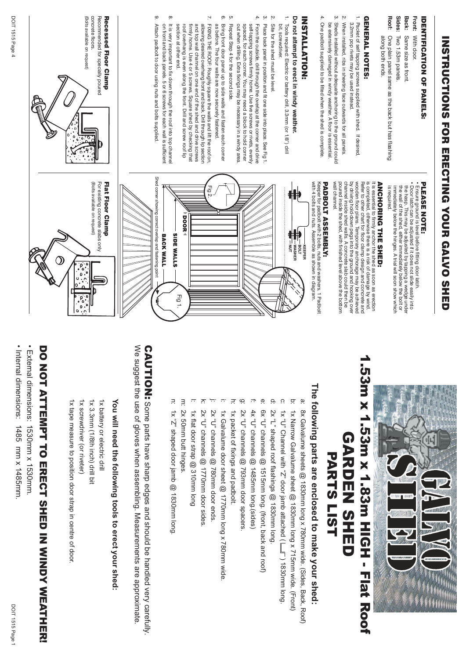- Ξ
- 
- 
- m:
- n: 1x  $^{\prime\prime}$ " shaped door jamb @ 1830mm long.
- 
- 
- 
- 
- 
- 
- 
- 
- 
- 
- 
- 
- 
- 
- 
- 
- 
- 
- 2x 50mm butt hinges. 2x 50mm butt hinges.
- 
- 
- 
- 
- 
- 
- 
- 
- 
- 
- 
- 

i: 1x Galvalume door sheet @ 1770mm long x 780mm wide. 1x Galvalume door sheet @ 1770mm long x 780mm wide. 6x "U" channels @ 1515mm long. (front, back and roof)

amb attached ( $\sqsubseteq$   $\sqsubseteq$  ) 1830mm long

**SIT** 

1.53m x 1.53m x 1.83m HIGH - Flat Roof PARTS LIST **3m HIGH - Flat Roof** 

# **The following parts are enclosed to make your shed:** The following parts are enclosed to make your shed:

- $\overline{a}$ بم a: 8x Galvalume sheets @ 1830mm long x 780mm wide. (Sides, Back, Roof) b: 1x Narrow Galvalume sheet @ 1830mm long x 715mm wide. (Front) 8x Galvalume sheets @ 1830mm long x 780mm wide. (Sides, Back, Roof) 1x Narrow Galvalume sheet @ 1830mm long x 715mm wide. (Front)
- ု c: 1x "U" Channel with "Z" door jamb attached ( ) 1830mm long. 1x "U" Channel with "Z" door
- ڣ d: 2x "L" shaped roof flashings @ 1830mm long. 2x "L" shaped roof flashings @ 1830mm long.
- $\underline{\mathsf{S}}$ e: 6x "U" channels @ 1515mm long. (front, back and roof)
- Ť. f: 4x "U" channels @ 1485mm long.(sides) 4x "U" channels @ 1485mm long.(sides)
- ڣ g: 2x "U" channels @ 793mm door spacers. 2x "U" channels @ 793mm door spacers.
- ਨ਼ h: 1x packet of fixings and padbolt. 1x packet of fixings and padbolt.
- 
- j: 2x "U" channels @ 780mm door ends. 2x "U" channels @ 780mm door ends.
- 
- 
- 
- 준 k: 2x "U" channels @ 1770mm door sides. 2x "U" channels @ 1770mm door sides.
- $\overline{\cdot}$
- 
- 
- 
- l: 1x flat door strap @ 310mm long 1x flat door strap @ 310mm long
- 
- 1x "Z" shaped door jamb @ 1830mm long.
- 

We suggest the use of gloves when assembling. Measurements are approximate We suggest the use of gloves when assembling. Measurements are approximate. CAUTION: Some parts have sharp edges and should be handled very carefully. Some parts have sharp edges and should be handled very carefully.

1x tape measure to position door strap in centre of door. strap in centre of door.

## **You will need the following tools to erect your shed:** You will need the following tools to erect your shed:

# **INSTRUCTIONS FOR** INSTRUCTIONS FOR ERECTING YOUR GALVO SHED **ERECTING YOUR GALYO SHED**

### **IDENTIFICATION OF PANELS:** IDENTIFICATION OF PANELS:

(Bolts available on request)

(Bolts available on request)

DOIT 1515 Page 4

concrete floors.

concrete floors.

Recommended for specially poured Recessed Floor Clamp

Recommended for specially poured Recessed Floor Clamp

### **PLEASE NOTE:** PLEASE NOTE:

• Internal dimensions: 1485 mm x 1485mm.

Internal dimensions: 1485 mm x 1485mm

• External dimensions:

DO NOT ATTEMPT TO

ERECT

• External dimensions: 1530mm x 1530mm.

1530mm x 1530mm.

# DO NOT ATTEMPT TO ERECT SHED IN WEATHERING NOT ATTEMPT TO ERECT SHED IN WINDY WEATHER! **SHIP IN SIND AND A SHIP IN SIND IN SALAMAY**

## Do not attempt to erect in windy weather. **Do not attempt to erect in windy weather.**

CAUTION:

1x screwdriver (or riveter)

1x screwdriver (or riveter)

1x tape measure to position door

1x 3.3mm (1/8th inch) drill bit

1x 3.3mm (1/8th inch) drill bit

1x battery or electric drill

1x battery or electric drill





### **SSM X** 1.53m x 1.8 GARDEN SHED **GARDEN SHEP PARTS**

- **Front:** With door. With door.
- **Back:** Same size as front Same size as front.
- **Roof: Sides:** One plain panel same as the back but has flashing along both ends. Two 1.53m panels along both ends. One plain panel same as the back but has flashing Two 1.53m panels.

### **GENERAL NOTES** GENERAL NOTES:

- . . . Tools required: Electric or battery drill, 3.3mm (or 1/8") drill Tools required: Electric or battery drill, 3.3mm (or 1/8") drill
- bit, screwdriver. bit, screwdriver.
- $\overline{p}$ Site for the shed must be level Site for the shed must be level.
- 4.From the outside, drill through the overlap at the corner and drive From the outside, drill through the overlap at the corner and drive  $\omega$ Place back panel in position and fit one side into place. See Fig 1. Place back panel in position and fit one side into place. See Fig 1.
- spaced, for each corner. You may need a block to hold corner self-tapping screws firmly home. Use five screws or rivets, evenly out when drilling. Extra fixings may be necessary in a windy area out when drilling. Extra fixings may be necessary in a windy area. spaced, for each corner. You may need a block to hold corner self-tapping screws firmly home. Use five screws or rivets, evenly
- ָת. Repeat Step 4 for the second side. Repeat Step 4 for the second side.
- 6.as before. The four walls are now securely fastened Bring front door panel up to side walls and fasten each corner as before. The four walls are now securely fastened. Bring front door panel up to side walls and fasten each corner
- 7.and top wall channel on one end of the shed and drive screws FIXING THE ROOF: Roughly square the walls and lift the roof on section at other end. section at other end. roof overhang is even along the front. Drill and screw roof lip roof overhang is even along the front. Drill and screw roof lip firmly home. Use 4 or 5 screws. Square shed by checking that firmly home. Use 4 or 5 screws. Square shed by checking that and top wall channel on one end of the shed and drive screws allowing desired overhang front and back. Drill through lip section allowing desired overhang front and back. Drill through lip section FIXING THE ROOF: Roughly square the walls and lift the roof on,
- $\infty$ It is very important to fix down through the roof into top channel on front and back panels. 5 or 6 screws for each wall is sufficient on front and back panels. 5 or 6 screws for each wall is sufficient It is very important to fix down through the roof into top channel
- 9.Attach padbolt to door using nuts and bolts supplied. Attach padbolt to door using nuts and bolts supplied.

### **PADBOLT ASSEMBLY:** PADBOLT ASSEMBLY:

- 1. 3.2mm pop rivets may be used instead. 3.2mm pop rivets may be used instead. Packet of self tapping screws supplied with shed. If desired,
- 2.When installed, ribs in sheeting face outwards for all panels. When installed, ribs in sheeting face outwards for all panels.
- $\ddot{\bm{\omega}}$ Sheds installed without adequate anchoring to the ground could Sheds installed without adequate anchoring to the ground could
- 4. be extensively damaged in windy weather. A floor is essential One padbolt supplied to be fitted when the shed is complete. be extensively damaged in windy weather. A floor is essential.

### **INSTALLATION:** INSTALLATION:

wooden floor plans. Temporary anchorage may be achieved<br>by driving hold-down pegs into the ground and hooking over<br>channel inside shed walls. A concrete slab could then be wall channel wall channel. wooden floor plans. Temporary anchorage may be achieved poured inside the shed, with finished level above the bottom poured inside the shed, with finished level above the bottom channel inside shed walls. A concrete slab could then be by driving hold-down pegs into the ground and hooking over Refer to other chart for floor clamp design and concrete and Refer to other chart for floor clamp design and concrete and is completed, otherwise there is a risk of damage by wind. is completed, otherwise there is a risk of damage by wind. It is essential to firmly anchor the shed as soon as erection It is essential to firmly anchor the shed as soon as erection

- Door latch can be adjusted if it does not slide easily into • Ensure ground is level before fitting door latch. the hasp. This may be adjusted by tapping a wedge under Ensure ground is level before fitting door latch.<br>Door latch can be adjusted if it does not slide easily into
- is required. the hasp. This may be adjusted by tapping a wedge under<br>the wall of the shed, either immediately below the bolt or<br>immediately below the hinges. A trial will soon show which the wall of the shed, either immediately below the bolt or is required. immediately below the hinges. A trial will soon show which

### ANCHORING THE SHED: ANCHORING THE SHED:

with 4 bolts and nuts. Assemble as shown in diagram. with 4 bolts and nuts. Assemble as shown in diagram. Keeper for padbolt with 2 bolts, nuts and washers. 1 Padbolt Keeper for padbolt with 2 bolts, nuts and washers. 1 Padbolt